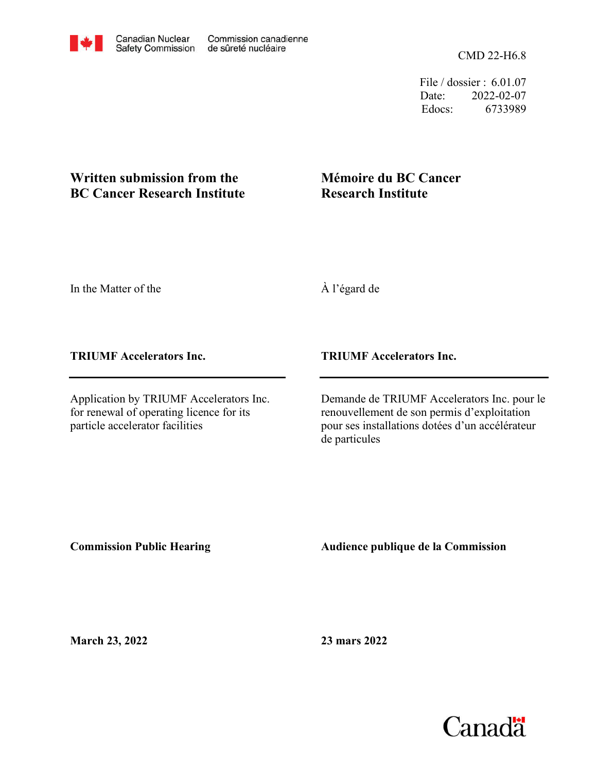CMD 22-H6.8

File / dossier : 6.01.07 Date: 2022-02-07 Edocs: 6733989

## **Written submission from the BC Cancer Research Institute**

## **Mémoire du BC Cancer Research Institute**

In the Matter of the

À l'égard de

**TRIUMF Accelerators Inc.**

Application by TRIUMF Accelerators Inc. for renewal of operating licence for its particle accelerator facilities

**TRIUMF Accelerators Inc.**

Demande de TRIUMF Accelerators Inc. pour le renouvellement de son permis d'exploitation pour ses installations dotées d'un accélérateur de particules

**Commission Public Hearing**

**Audience publique de la Commission** 

**March 23, 2022**

**23 mars 2022**

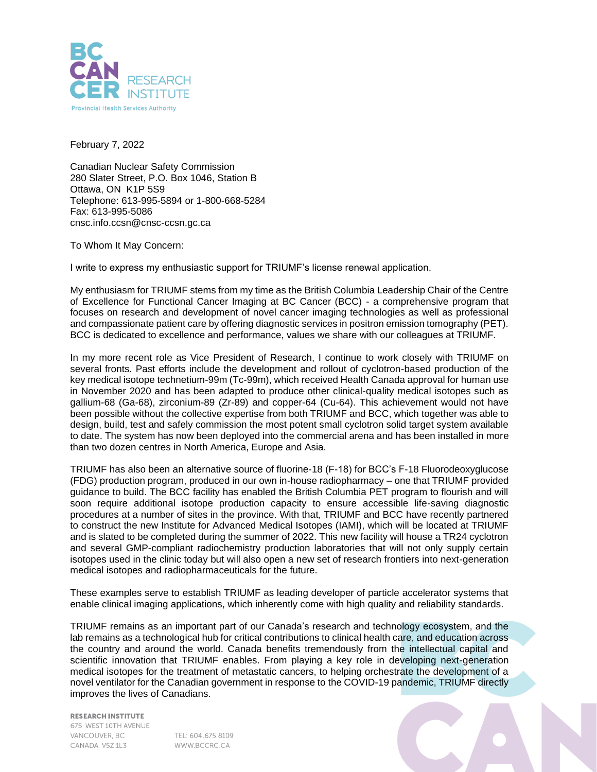

February 7, 2022

Canadian Nuclear Safety Commission 280 Slater Street, P.O. Box 1046, Station B Ottawa, ON K1P 5S9 Telephone: 613-995-5894 or 1-800-668-5284 Fax: 613-995-5086 cnsc.info.ccsn@cnsc-ccsn.gc.ca

To Whom It May Concern:

I write to express my enthusiastic support for TRIUMF's license renewal application.

My enthusiasm for TRIUMF stems from my time as the British Columbia Leadership Chair of the Centre of Excellence for Functional Cancer Imaging at BC Cancer (BCC) - a comprehensive program that focuses on research and development of novel cancer imaging technologies as well as professional and compassionate patient care by offering diagnostic services in positron emission tomography (PET). BCC is dedicated to excellence and performance, values we share with our colleagues at TRIUMF.

In my more recent role as Vice President of Research, I continue to work closely with TRIUMF on several fronts. Past efforts include the development and rollout of cyclotron-based production of the key medical isotope technetium-99m (Tc-99m), which received Health Canada approval for human use in November 2020 and has been adapted to produce other clinical-quality medical isotopes such as gallium-68 (Ga-68), zirconium-89 (Zr-89) and copper-64 (Cu-64). This achievement would not have been possible without the collective expertise from both TRIUMF and BCC, which together was able to design, build, test and safely commission the most potent small cyclotron solid target system available to date. The system has now been deployed into the commercial arena and has been installed in more than two dozen centres in North America, Europe and Asia.

TRIUMF has also been an alternative source of fluorine-18 (F-18) for BCC's F-18 Fluorodeoxyglucose (FDG) production program, produced in our own in-house radiopharmacy – one that TRIUMF provided guidance to build. The BCC facility has enabled the British Columbia PET program to flourish and will soon require additional isotope production capacity to ensure accessible life-saving diagnostic procedures at a number of sites in the province. With that, TRIUMF and BCC have recently partnered to construct the new Institute for Advanced Medical Isotopes (IAMI), which will be located at TRIUMF and is slated to be completed during the summer of 2022. This new facility will house a TR24 cyclotron and several GMP-compliant radiochemistry production laboratories that will not only supply certain isotopes used in the clinic today but will also open a new set of research frontiers into next-generation medical isotopes and radiopharmaceuticals for the future.

These examples serve to establish TRIUMF as leading developer of particle accelerator systems that enable clinical imaging applications, which inherently come with high quality and reliability standards.

TRIUMF remains as an important part of our Canada's research and technology ecosystem, and the lab remains as a technological hub for critical contributions to clinical health care, and education across the country and around the world. Canada benefits tremendously from the intellectual capital and scientific innovation that TRIUMF enables. From playing a key role in developing next-generation medical isotopes for the treatment of metastatic cancers, to helping orchestrate the development of a novel ventilator for the Canadian government in response to the COVID-19 pandemic, TRIUMF directly improves the lives of Canadians.

**RESEARCH INSTITUTE** 675 WEST 10TH AVENUE VANCOUVER, BC CANADA V57 1L3

TEL: 604.675.8109 WWW.BCCRC.CA